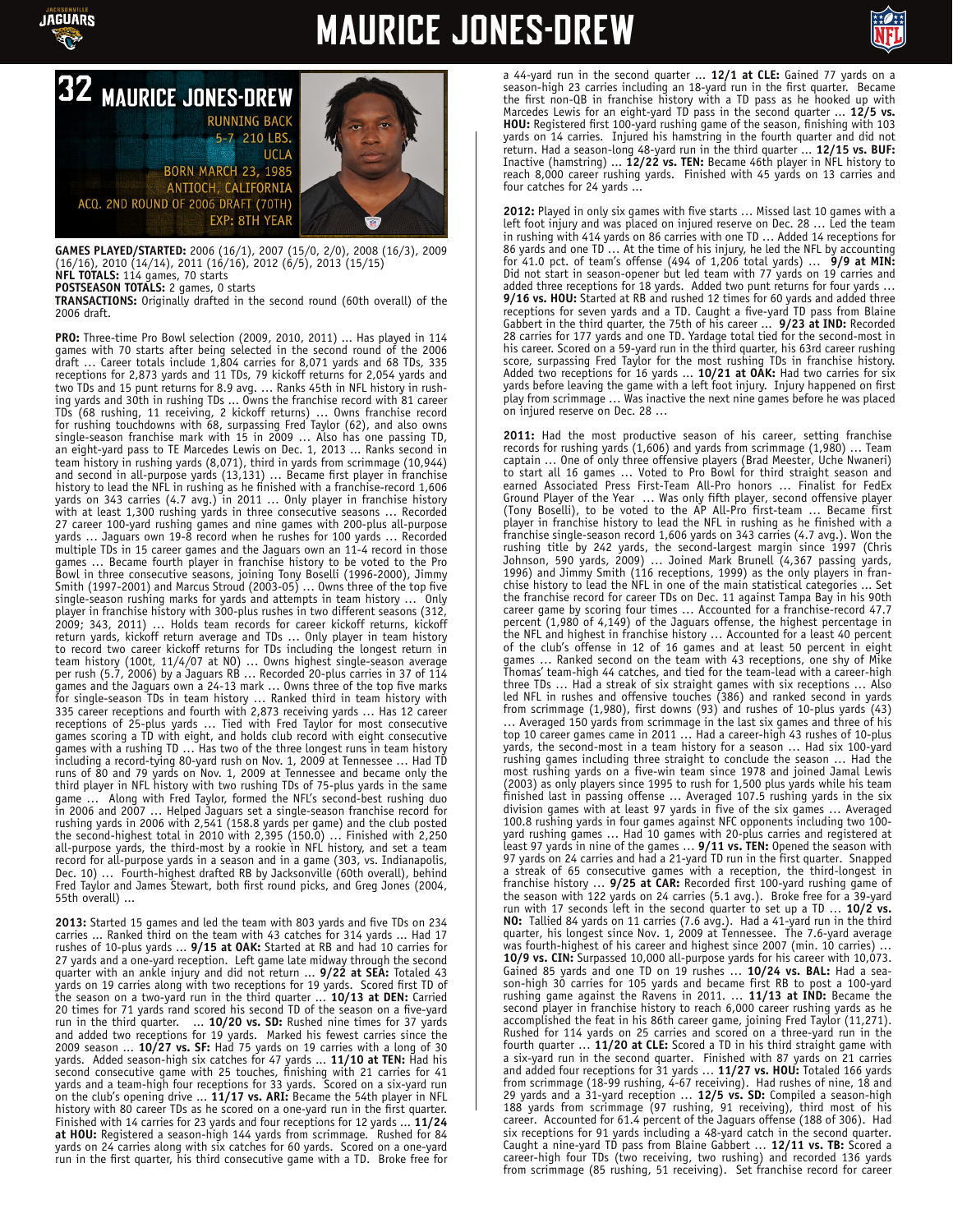





**GAMES PLAYED/STARTED:** 2006 (16/1), 2007 (15/0, 2/0), 2008 (16/3), 2009 (16/16), 2010 (14/14), 2011 (16/16), 2012 (6/5), 2013 (15/15) **NFL TOTALS:** 114 games, 70 starts **POSTSEASON TOTALS:** 2 games, 0 starts

**TRANSACTIONS:** Originally drafted in the second round (60th overall) of the 2006 draft.

**PRO:** Three-time Pro Bowl selection (2009, 2010, 2011) ... Has played in 114 games with 70 starts after being selected in the second round of the 2006 draft … Career totals include 1,804 carries for 8,071 yards and 68 TDs, 335 receptions for 2,873 yards and 11 TDs, 79 kickoff returns for 2,054 yards and two TDs and 15 punt returns for 8.9 avg. … Ranks 45th in NFL history in rushing yards and 30th in rushing TDs ... Owns the franchise record with 81 career TDs (68 rushing, 11 receiving, 2 kickoff returns) … Owns franchise record for rushing touchdowns with 68, surpassing Fred Taylor (62), and also owns single-season franchise mark with 15 in 2009 … Also has one passing TD, an eight-yard pass to TE Marcedes Lewis on Dec. 1, 2013 ... Ranks second in team history in rushing yards (8,071), third in yards from scrimmage (10,944) and second in all-purpose yards (13,131) … Became first player in franchise history to lead the NFL in rushing as he finished with a franchise-record 1,606 yards on 343 carries (4.7 avg.) in 2011 … Only player in franchise history with at least 1,300 rushing yards in three consecutive seasons ... Recorded 27 career 100-yard rushing games and nine games with 200-plus all-purpose yards … Jaguars own 19-8 record when he rushes for 100 yards … Recorded multiple TDs in 15 career games and the Jaguars own an 11-4 record in those games … Became fourth player in franchise history to be voted to the Pro Bowl in three consecutive seasons, joining Tony Boselli (1996-2000), Jimmy Smith (1997-2001) and Marcus Stroud (2003-05) ... Owns three of the top five<br>single-season rushing marks for vards and attempts in team history ... Only single-season rushing marks for yards and attempts in team history ... player in franchise history with 300-plus rushes in two different seasons (312, 2009; 343, 2011) … Holds team records for career kickoff returns, kickoff return yards, kickoff return average and TDs … Only player in team history to record two career kickoff returns for TDs including the longest return in team history (100t, 11/4/07 at NO) … Owns highest single-season average per rush (5.7, 2006) by a Jaguars RB … Recorded 20-plus carries in 37 of 114 games and the Jaguars own a 24-13 mark … Owns three of the top five marks for single-season TDs in team history … Ranked third in team history with 335 career receptions and fourth with 2,873 receiving yards … Has 12 career receptions of 25-plus yards … Tied with Fred Taylor for most consecutive games scoring a TD with eight, and holds club record with eight consecutive games with a rushing TD … Has two of the three longest runs in team history including a record-tying 80-yard rush on Nov. 1, 2009 at Tennessee … Had TD runs of 80 and 79 yards on Nov. 1, 2009 at Tennessee and became only the third player in NFL history with two rushing TDs of 75-plus yards in the same game … Along with Fred Taylor, formed the NFL's second-best rushing duo in 2006 and 2007 … Helped Jaguars set a single-season franchise record for rushing yards in 2006 with 2,541 (158.8 yards per game) and the club posted the second-highest total in 2010 with 2,395 (150.0) … Finished with 2,250 all-purpose yards, the third-most by a rookie in NFL history, and set a team record for all-purpose yards in a season and in a game (303, vs. Indianapolis, Dec. 10) … Fourth-highest drafted RB by Jacksonville (60th overall), behind Fred Taylor and James Stewart, both first round picks, and Greg Jones (2004, 55th overall) ...

**2013:** Started 15 games and led the team with 803 yards and five TDs on 234 carries ... Ranked third on the team with 43 catches for 314 yards ... Had 17 rushes of 10-plus yards ... **9/15 at OAK:** Started at RB and had 10 carries for 27 yards and a one-yard reception. Left game late midway through the second quarter with an ankle injury and did not return ... **9/22 at SEA:** Totaled 43 yards on 19 carries along with two receptions for 19 yards. Scored first TD of the season on a two-yard run in the third quarter ... **10/13 at DEN:** Carried 20 times for 71 yards rand scored his second TD of the season on a five-yard run in the third quarter. ... **10/20 vs. SD:** Rushed nine times for 37 yards and added two receptions for 19 yards. Marked his fewest carries since the 2009 season ... **10/27 vs. SF:** Had 75 yards on 19 carries with a long of 30 yards. Added season-high six catches for 47 yards ... **11/10 at TEN:** Had his second consecutive game with 25 touches, finishing with 21 carries for 41 yards and a team-high four receptions for 33 yards. Scored on a six-yard run on the club's opening drive ... **11/17 vs. ARI:** Became the 54th player in NFL history with 80 career TDs as he scored on a one-yard run in the first quarter. Finished with 14 carries for 23 yards and four receptions for 12 yards ... **11/24 at HOU:** Registered a season-high 144 yards from scrimmage. Rushed for 84 yards on 24 carries along with six catches for 60 yards. Scored on a one-yard run in the first quarter, his third consecutive game with a TD. Broke free for

a 44-yard run in the second quarter ... **12/1 at CLE:** Gained 77 yards on a season-high 23 carries including an 18-yard run in the first quarter. Became the first non-QB in franchise history with a TD pass as he hooked up with Marcedes Lewis for an eight-yard TD pass in the second quarter ... **12/5 vs. HOU:** Registered first 100-yard rushing game of the season, finishing with 103 yards on 14 carries. Injured his hamstring in the fourth quarter and did not return. Had a season-long 48-yard run in the third quarter ... **12/15 vs. BUF:**  Inactive (hamstring) ... **12/22 vs. TEN:** Became 46th player in NFL history to reach 8,000 career rushing yards. Finished with 45 yards on 13 carries and four catches for 24 yards ...

**2012:** Played in only six games with five starts … Missed last 10 games with a left foot injury and was placed on injured reserve on Dec. 28 … Led the team in rushing with 414 yards on 86 carries with one TD … Added 14 receptions for 86 yards and one TD … At the time of his injury, he led the NFL by accounting for 41.0 pct. of team's offense (494 of 1,206 total yards) … **9/9 at MIN:**  Did not start in season-opener but led team with 77 yards on 19 carries and added three receptions for 18 yards. Added two punt returns for four yards … **9/16 vs. HOU:** Started at RB and rushed 12 times for 60 yards and added three receptions for seven yards and a TD. Caught a five-yard TD pass from Blaine Gabbert in the third quarter, the 75th of his career ... **9/23 at IND:** Recorded 28 carries for 177 yards and one TD. Yardage total tied for the second-most in his career. Scored on a 59-yard run in the third quarter, his 63rd career rushing score, surpassing Fred Taylor for the most rushing TDs in franchise history. Added two receptions for 16 yards ... **10/21 at OAK:** Had two carries for six yards before leaving the game with a left foot injury. Injury happened on first play from scrimmage … Was inactive the next nine games before he was placed on injured reserve on Dec. 28 …

**2011:** Had the most productive season of his career, setting franchise records for rushing yards (1,606) and yards from scrimmage (1,980) … Team captain … One of only three offensive players (Brad Meester, Uche Nwaneri) to start all 16 games … Voted to Pro Bowl for third straight season and earned Associated Press First-Team All-Pro honors … Finalist for FedEx Ground Player of the Year … Was only fifth player, second offensive player (Tony Boselli), to be voted to the AP All-Pro first-team … Became first player in franchise history to lead the NFL in rushing as he finished with a franchise single-season record 1,606 yards on 343 carries (4.7 avg.). Won the rushing title by 242 yards, the second-largest margin since 1997 (Chris Johnson, 590 yards, 2009) … Joined Mark Brunell (4,367 passing yards, 1996) and Jimmy Smith (116 receptions, 1999) as the only players in franchise history to lead the NFL in one of the main statistical categories ... Set the franchise record for career TDs on Dec. 11 against Tampa Bay in his 90th career game by scoring four times … Accounted for a franchise-record 47.7 percent (1,980 of 4,149) of the Jaguars offense, the highest percentage in the NFL and highest in franchise history … Accounted for a least 40 percent of the club's offense in 12 of 16 games and at least 50 percent in eight games … Ranked second on the team with 43 receptions, one shy of Mike Thomas' team-high 44 catches, and tied for the team-lead with a career-high three TDs … Had a streak of six straight games with six receptions … Also led NFL in rushes and offensive touches (386) and ranked second in yards from scrimmage (1,980), first downs (93) and rushes of 10-plus yards (43) … Averaged 150 yards from scrimmage in the last six games and three of his top 10 career games came in 2011 … Had a career-high 43 rushes of 10-plus yards, the second-most in a team history for a season … Had six 100-yard rushing games including three straight to conclude the season … Had the most rushing yards on a five-win team since 1978 and joined Jamal Lewis (2003) as only players since 1995 to rush for 1,500 plus yards while his team finished last in passing offense … Averaged 107.5 rushing yards in the six division games with at least 97 yards in five of the six games … Averaged 100.8 rushing yards in four games against NFC opponents including two 100 yard rushing games … Had 10 games with 20-plus carries and registered at least 97 yards in nine of the games … **9/11 vs. TEN:** Opened the season with 97 yards on 24 carries and had a 21-yard TD run in the first quarter. Snapped a streak of 65 consecutive games with a reception, the third-longest in franchise history … **9/25 at CAR:** Recorded first 100-yard rushing game of the season with 122 yards on 24 carries (5.1 avg.). Broke free for a 39-yard run with 17 seconds left in the second quarter to set up a TD … **10/2 vs. NO:** Tallied 84 yards on 11 carries (7.6 avg.). Had a 41-yard run in the third quarter, his longest since Nov. 1, 2009 at Tennessee. The 7.6-yard average was fourth-highest of his career and highest since 2007 (min. 10 carries) ... **10/9 vs. CIN:** Surpassed 10,000 all-purpose yards for his career with 10,073. Gained 85 yards and one TD on 19 rushes … **10/24 vs. BAL:** Had a season-high 30 carries for 105 yards and became first RB to post a 100-yard rushing game against the Ravens in 2011. … **11/13 at IND:** Became the second player in franchise history to reach 6,000 career rushing yards as he accomplished the feat in his 86th career game, joining Fred Taylor (11,271). Rushed for 114 yards on 25 carries and scored on a three-yard run in the fourth quarter … **11/20 at CLE:** Scored a TD in his third straight game with a six-yard run in the second quarter. Finished with 87 yards on 21 carries and added four receptions for 31 yards … **11/27 vs. HOU:** Totaled 166 yards from scrimmage (18-99 rushing, 4-67 receiving). Had rushes of nine, 18 and 29 yards and a 31-yard reception … **12/5 vs. SD:** Compiled a season-high 188 yards from scrimmage (97 rushing, 91 receiving), third most of his career. Accounted for 61.4 percent of the Jaguars offense (188 of 306). Had six receptions for 91 yards including a 48-yard catch in the second quarter. Caught a nine-yard TD pass from Blaine Gabbert ... 12/11 vs. TB: Scored a career-high four TDs (two receiving, two rushing) and recorded 136 yards from scrimmage (85 rushing, 51 receiving). Set franchise record for career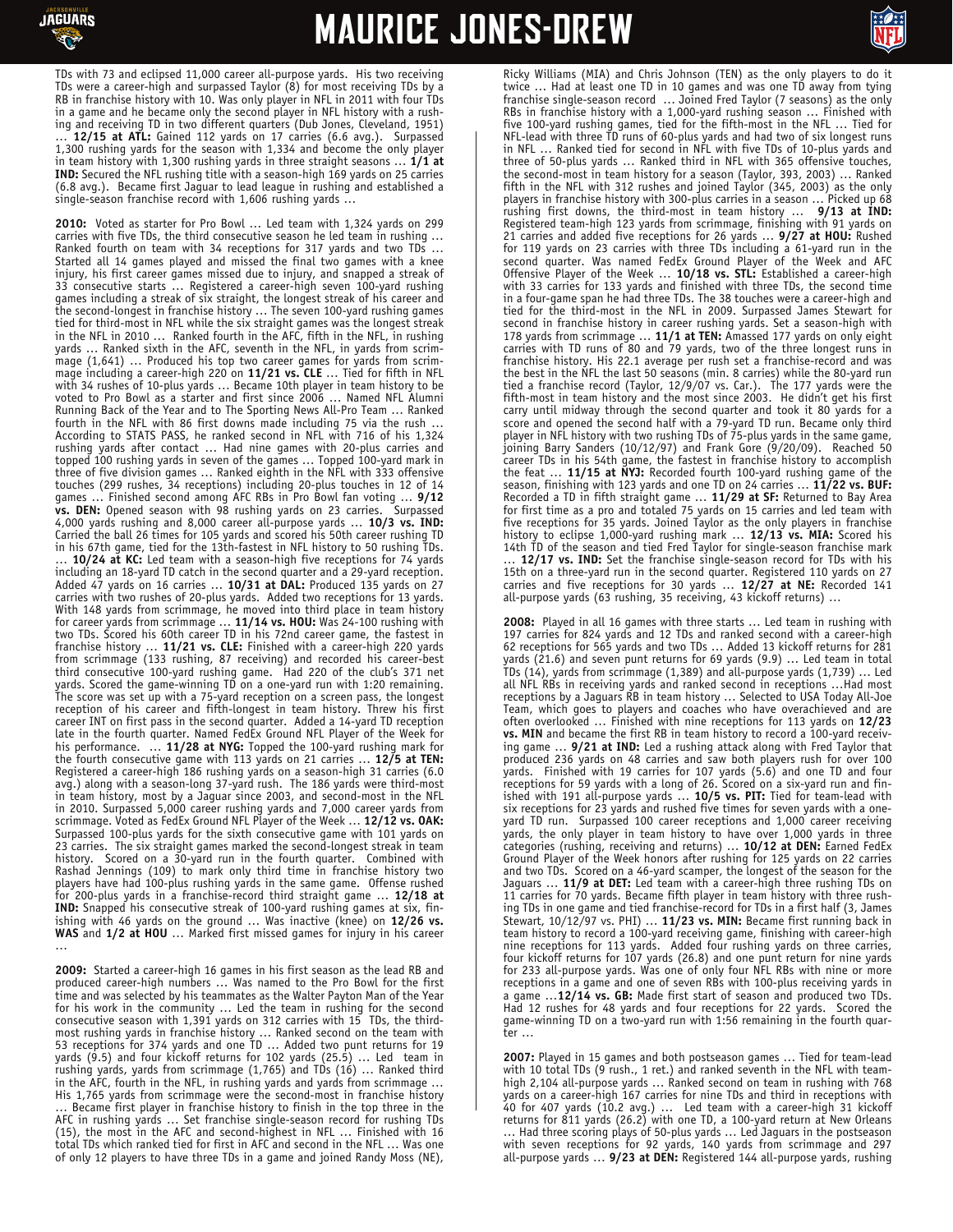

…

# **MAURICE JONES-DREW**



TDs with 73 and eclipsed 11,000 career all-purpose yards. His two receiving TDs were a career-high and surpassed Taylor (8) for most receiving TDs by a RB in franchise history with 10. Was only player in NFL in 2011 with four TDs in a game and he became only the second player in NFL history with a rushing and receiving TD in two different quarters (Dub Jones, Cleveland, 1951) … **12/15 at ATL:** Gained 112 yards on 17 carries (6.6 avg.). Surpassed 1,300 rushing yards for the season with 1,334 and become the only player in team history with 1,300 rushing yards in three straight seasons … **1/1 at IND:** Secured the NFL rushing title with a season-high 169 yards on 25 carries (6.8 avg.). Became first Jaguar to lead league in rushing and established a single-season franchise record with 1,606 rushing yards ...

**2010:** Voted as starter for Pro Bowl … Led team with 1,324 yards on 299 carries with five TDs, the third consecutive season he led team in rushing … Ranked fourth on team with 34 receptions for 317 yards and two TDs … Started all 14 games played and missed the final two games with a knee injury, his first career games missed due to injury, and snapped a streak of 33 consecutive starts … Registered a career-high seven 100-yard rushing games including a streak of six straight, the longest streak of his career and the second-longest in franchise history … The seven 100-yard rushing games tied for third-most in NFL while the six straight games was the longest streak in the NFL in 2010 … Ranked fourth in the AFC, fifth in the NFL, in rushing yards … Ranked sixth in the AFC, seventh in the NFL, in yards from scrimmage (1,641) … Produced his top two career games for yards from scrimmage including a career-high 220 on **11/21 vs. CLE** … Tied for fifth in NFL with 34 rushes of 10-plus yards … Became 10th player in team history to be voted to Pro Bowl as a starter and first since 2006 … Named NFL Alumni Running Back of the Year and to The Sporting News All-Pro Team … Ranked fourth in the NFL with 86 first downs made including 75 via the rush … According to STATS PASS, he ranked second in NFL with 716 of his 1,324 rushing yards after contact … Had nine games with 20-plus carries and topped 100 rushing yards in seven of the games … Topped 100-yard mark in three of five division games … Ranked eighth in the NFL with 333 offensive touches (299 rushes, 34 receptions) including 20-plus touches in 12 of 14 games … Finished second among AFC RBs in Pro Bowl fan voting … **9/12 vs. DEN:** Opened season with 98 rushing yards on 23 carries. Surpassed 4,000 yards rushing and 8,000 career all-purpose yards … **10/3 vs. IND:** Carried the ball 26 times for 105 yards and scored his 50th career rushing TD in his 67th game, tied for the 13th-fastest in NFL history to 50 rushing TDs. … **10/24 at KC:** Led team with a season-high five receptions for 74 yards including an 18-yard TD catch in the second quarter and a 29-yard reception. Added 47 yards on 16 carries … **10/31 at DAL:** Produced 135 yards on 27 carries with two rushes of 20-plus yards. Added two receptions for 13 yards. With 148 yards from scrimmage, he moved into third place in team history for career yards from scrimmage … **11/14 vs. HOU:** Was 24-100 rushing with two TDs. Scored his 60th career TD in his 72nd career game, the fastest in franchise history … **11/21 vs. CLE:** Finished with a career-high 220 yards from scrimmage (133 rushing, 87 receiving) and recorded his career-best third consecutive 100-yard rushing game. Had 220 of the club's 371 net yards. Scored the game-winning TD on a one-yard run with 1:20 remaining. The score was set up with a 75-yard reception on a screen pass, the longest reception of his career and fifth-longest in team history. Threw his first career INT on first pass in the second quarter. Added a 14-yard TD reception late in the fourth quarter. Named FedEx Ground NFL Player of the Week for his performance. … **11/28 at NYG:** Topped the 100-yard rushing mark for the fourth consecutive game with 113 yards on 21 carries … **12/5 at TEN:** Registered a career-high 186 rushing yards on a season-high 31 carries (6.0 avg.) along with a season-long 37-yard rush. The 186 yards were third-most in team history, most by a Jaguar since 2003, and second-most in the NFL in 2010. Surpassed 5,000 career rushing yards and 7,000 career yards from scrimmage. Voted as FedEx Ground NFL Player of the Week … **12/12 vs. OAK:** Surpassed 100-plus yards for the sixth consecutive game with 101 yards on 23 carries. The six straight games marked the second-longest streak in team<br>history. Scored on a 30-yard run in the fourth quarter. Combined with Scored on a 30-yard run in the fourth quarter. Combined with Rashad Jennings (109) to mark only third time in franchise history two players have had 100-plus rushing yards in the same game. Offense rushed for 200-plus yards in a franchise-record third straight game … **12/18 at IND:** Snapped his consecutive streak of 100-yard rushing games at six, finishing with 46 yards on the ground … Was inactive (knee) on **12/26 vs. WAS** and **1/2 at HOU** … Marked first missed games for injury in his career

**2009:** Started a career-high 16 games in his first season as the lead RB and produced career-high numbers … Was named to the Pro Bowl for the first time and was selected by his teammates as the Walter Payton Man of the Year for his work in the community … Led the team in rushing for the second consecutive season with 1,391 yards on 312 carries with 15 TDs, the thirdmost rushing yards in franchise history … Ranked second on the team with 53 receptions for 374 yards and one TD … Added two punt returns for 19 yards (9.5) and four kickoff returns for 102 yards (25.5) … Led team in rushing yards, yards from scrimmage (1,765) and TDs (16) … Ranked third in the AFC, fourth in the NFL, in rushing yards and yards from scrimmage … His 1,765 yards from scrimmage were the second-most in franchise history Became first player in franchise history to finish in the top three in the AFC in rushing yards … Set franchise single-season record for rushing TDs (15), the most in the AFC and second-highest in NFL … Finished with 16 total TDs which ranked tied for first in AFC and second in the NFL … Was one of only 12 players to have three TDs in a game and joined Randy Moss (NE),

Ricky Williams (MIA) and Chris Johnson (TEN) as the only players to do it twice … Had at least one TD in 10 games and was one TD away from tying Franchise single-season record ... Joined Fred Taylor (7 seasons) as the only<br>RBs in franchise history with a 1,000-yard rushing season ... Finished with RBs in franchise history with a 1,000-yard rushing season … Finished with five 100-yard rushing games, tied for the fifth-most in the NFL … Tied for NFL-lead with three TD runs of 60-plus yards and had two of six longest runs in NFL … Ranked tied for second in NFL with five TDs of 10-plus yards and three of 50-plus yards … Ranked third in NFL with 365 offensive touches, the second-most in team history for a season (Taylor, 393, 2003) … Ranked fifth in the NFL with 312 rushes and joined Taylor (345, 2003) as the only players in franchise history with 300-plus carries in a season … Picked up 68 rushing first downs, the third-most in team history … **9/13 at IND:** Registered team-high 123 yards from scrimmage, finishing with 91 yards on 21 carries and added five receptions for 26 yards … **9/27 at HOU:** Rushed for 119 yards on 23 carries with three TDs including a 61-yard run in the second quarter. Was named FedEx Ground Player of the Week and AFC Offensive Player of the Week … **10/18 vs. STL:** Established a career-high with 33 carries for 133 yards and finished with three TDs, the second time in a four-game span he had three TDs. The 38 touches were a career-high and tied for the third-most in the NFL in 2009. Surpassed James Stewart for second in franchise history in career rushing yards. Set a season-high with 178 yards from scrimmage … **11/1 at TEN:** Amassed 177 yards on only eight carries with TD runs of 80 and 79 yards, two of the three longest runs in franchise history. His 22.1 average per rush set a franchise-record and was the best in the NFL the last 50 seasons (min. 8 carries) while the 80-yard run tied a franchise record (Taylor, 12/9/07 vs. Car.). The 177 yards were the fifth-most in team history and the most since 2003. He didn't get his first carry until midway through the second quarter and took it 80 yards for a score and opened the second half with a 79-yard TD run. Became only third player in NFL history with two rushing TDs of 75-plus yards in the same game, joining Barry Sanders (10/12/97) and Frank Gore (9/20/09). Reached 50 career TDs in his 54th game, the fastest in franchise history to accomplish the feat … **11/15 at NYJ:** Recorded fourth 100-yard rushing game of the season, finishing with 123 yards and one TD on 24 carries … **11/22 vs. BUF:** Recorded a TD in fifth straight game … **11/29 at SF:** Returned to Bay Area for first time as a pro and totaled 75 yards on 15 carries and led team with five receptions for 35 yards. Joined Taylor as the only players in franchise history to eclipse 1,000-yard rushing mark … **12/13 vs. MIA:** Scored his 14th TD of the season and tied Fred Taylor for single-season franchise mark … **12/17 vs. IND:** Set the franchise single-season record for TDs with his 15th on a three-yard run in the second quarter. Registered 110 yards on 27 carries and five receptions for 30 yards … **12/27 at NE:** Recorded 141 all-purpose yards (63 rushing, 35 receiving, 43 kickoff returns) …

**2008:** Played in all 16 games with three starts … Led team in rushing with 197 carries for 824 yards and 12 TDs and ranked second with a career-high 62 receptions for 565 yards and two TDs … Added 13 kickoff returns for 281 yards (21.6) and seven punt returns for 69 yards (9.9) … Led team in total TDs (14), yards from scrimmage (1,389) and all-purpose yards (1,739) … Led all NFL RBs in receiving yards and ranked second in receptions …Had most receptions by a Jaguars RB in team history … Selected to USA Today All-Joe Team, which goes to players and coaches who have overachieved and are often overlooked … Finished with nine receptions for 113 yards on **12/23 vs. MIN** and became the first RB in team history to record a 100-yard receiving game … **9/21 at IND:** Led a rushing attack along with Fred Taylor that produced 236 yards on 48 carries and saw both players rush for over 100 yards. Finished with 19 carries for 107 yards (5.6) and one TD and four receptions for 59 yards with a long of 26. Scored on a six-yard run and finished with 191 all-purpose yards … **10/5 vs. PIT:** Tied for team-lead with six receptions for 23 yards and rushed five times for seven yards with a oneyard TD run. Surpassed 100 career receptions and 1,000 career receiving yards, the only player in team history to have over 1,000 yards in three categories (rushing, receiving and returns) … **10/12 at DEN:** Earned FedEx Ground Player of the Week honors after rushing for 125 yards on 22 carries and two TDs. Scored on a 46-yard scamper, the longest of the season for the Jaguars ... 11/9 at DET: Led team with a career-high three rushing TDs on 11 carries for 70 yards. Became fifth player in team history with three rushing TDs in one game and tied franchise-record for TDs in a first half (3, James Stewart, 10/12/97 vs. PHI) … **11/23 vs. MIN:** Became first running back in team history to record a 100-yard receiving game, finishing with career-high nine receptions for 113 yards. Added four rushing yards on three carries, four kickoff returns for 107 yards (26.8) and one punt return for nine yards for 233 all-purpose yards. Was one of only four NFL RBs with nine or more receptions in a game and one of seven RBs with 100-plus receiving yards in a game …**12/14 vs. GB:** Made first start of season and produced two TDs. Had 12 rushes for 48 yards and four receptions for 22 yards. Scored the game-winning TD on a two-yard run with  $1:56$  remaining in the fourth quar-

**2007:** Played in 15 games and both postseason games … Tied for team-lead with 10 total TDs (9 rush., 1 ret.) and ranked seventh in the NFL with teamhigh 2,104 all-purpose yards … Ranked second on team in rushing with 768 yards on a career-high 167 carries for nine TDs and third in receptions with 40 for 407 yards (10.2 avg.) … Led team with a career-high 31 kickoff returns for 811 yards (26.2) with one TD, a 100-yard return at New Orleans … Had three scoring plays of 50-plus yards … Led Jaguars in the postseason with seven receptions for 92 yards, 140 yards from scrimmage and 297 all-purpose yards … **9/23 at DEN:** Registered 144 all-purpose yards, rushing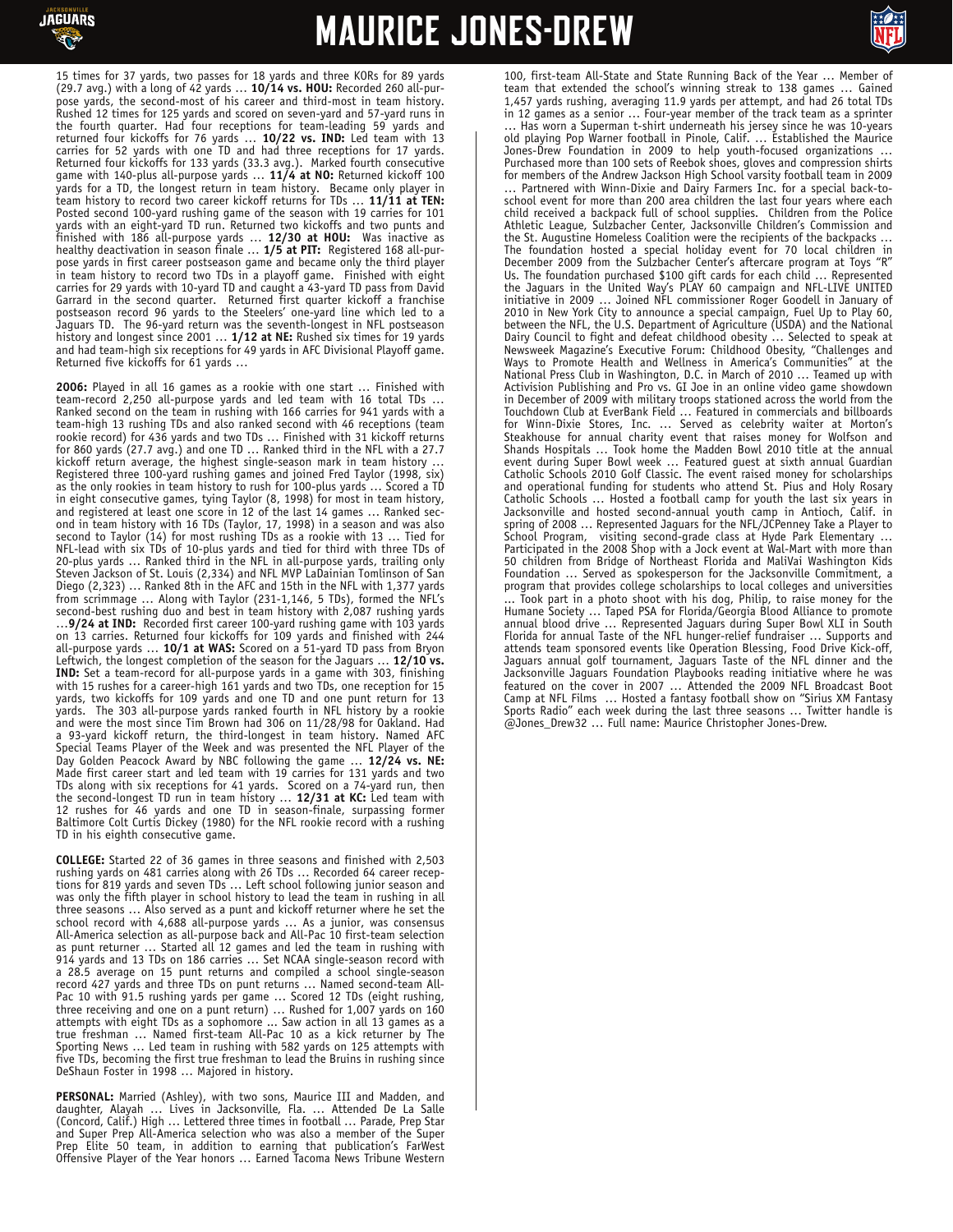



15 times for 37 yards, two passes for 18 yards and three KORs for 89 yards (29.7 avg.) with a long of 42 yards … **10/14 vs. HOU:** Recorded 260 all-purpose yards, the second-most of his career and third-most in team history. Rushed 12 times for 125 yards and scored on seven-yard and 57-yard runs in the fourth quarter. Had four receptions for team-leading 59 yards and returned four kickoffs for 76 yards … **10/22 vs. IND:** Led team with 13 carries for 52 yards with one TD and had three receptions for 17 yards. Returned four kickoffs for 133 yards (33.3 avg.). Marked fourth consecutive game with 140-plus all-purpose yards … **11/4 at NO:** Returned kickoff 100 yards for a TD, the longest return in team history. Became only player in team history to record two career kickoff returns for TDs … **11/11 at TEN:** Posted second 100-yard rushing game of the season with 19 carries for 101 yards with an eight-yard TD run. Returned two kickoffs and two punts and finished with 186 all-purpose yards … **12/30 at HOU:** Was inactive as healthy deactivation in season finale … **1/5 at PIT:** Registered 168 all-purpose yards in first career postseason game and became only the third player in team history to record two TDs in a playoff game. Finished with eight carries for 29 yards with 10-yard TD and caught a 43-yard TD pass from David Garrard in the second quarter. Returned first quarter kickoff a franchise postseason record 96 yards to the Steelers' one-yard line which led to a Jaguars TD. The 96-yard return was the seventh-longest in NFL postseason history and longest since 2001 … **1/12 at NE:** Rushed six times for 19 yards and had team-high six receptions for 49 yards in AFC Divisional Playoff game. Returned five kickoffs for 61 yards ...

**2006:** Played in all 16 games as a rookie with one start … Finished with team-record 2,250 all-purpose yards and led team with 16 total TDs … Ranked second on the team in rushing with 166 carries for 941 yards with a team-high 13 rushing TDs and also ranked second with 46 receptions (team rookie record) for 436 yards and two TDs … Finished with 31 kickoff returns for 860 yards (27.7 avg.) and one TD … Ranked third in the NFL with a 27.7 kickoff return average, the highest single-season mark in team history ... Registered three 100-yard rushing games and joined Fred Taylor (1998, six) as the only rookies in team history to rush for 100-plus yards … Scored a TD in eight consecutive games, tying Taylor (8, 1998) for most in team history, and registered at least one score in 12 of the last 14 games … Ranked second in team history with 16 TDs (Taylor, 17, 1998) in a season and was also second to Taylor (14) for most rushing TDs as a rookie with 13 … Tied for NFL-lead with six TDs of 10-plus yards and tied for third with three TDs of 20-plus yards … Ranked third in the NFL in all-purpose yards, trailing only Steven Jackson of St. Louis (2,334) and NFL MVP LaDainian Tomlinson of San Diego (2,323) … Ranked 8th in the AFC and 15th in the NFL with 1,377 yards from scrimmage … Along with Taylor (231-1,146, 5 TDs), formed the NFL's second-best rushing duo and best in team history with 2,087 rushing yards …**9/24 at IND:** Recorded first career 100-yard rushing game with 103 yards on 13 carries. Returned four kickoffs for 109 yards and finished with 244 all-purpose yards … **10/1 at WAS:** Scored on a 51-yard TD pass from Bryon Leftwich, the longest completion of the season for the Jaguars … **12/10 vs. IND:** Set a team-record for all-purpose yards in a game with 303, finishing with 15 rushes for a career-high 161 yards and two TDs, one reception for 15 yards, two kickoffs for 109 yards and one TD and one punt return for 13 yards. The 303 all-purpose yards ranked fourth in NFL history by a rookie and were the most since Tim Brown had 306 on 11/28/98 for Oakland. Had a 93-yard kickoff return, the third-longest in team history. Named AFC Special Teams Player of the Week and was presented the NFL Player of the Day Golden Peacock Award by NBC following the game … **12/24 vs. NE:** Made first career start and led team with 19 carries for 131 yards and two TDs along with six receptions for 41 yards. Scored on a 74-yard run, then the second-longest TD run in team history … **12/31 at KC:** Led team with 12 rushes for 46 yards and one TD in season-finale, surpassing former Baltimore Colt Curtis Dickey (1980) for the NFL rookie record with a rushing TD in his eighth consecutive game.

**COLLEGE:** Started 22 of 36 games in three seasons and finished with 2,503 rushing yards on 481 carries along with 26 TDs … Recorded 64 career receptions for 819 yards and seven TDs … Left school following junior season and was only the fifth player in school history to lead the team in rushing in all three seasons … Also served as a punt and kickoff returner where he set the school record with 4,688 all-purpose yards … As a junior, was consensus All-America selection as all-purpose back and All-Pac 10 first-team selection as punt returner ... Started all 12 games and led the team in rushing with 914 yards and 13 TDs on 186 carries … Set NCAA single-season record with a 28.5 average on 15 punt returns and compiled a school single-season record 427 yards and three TDs on punt returns … Named second-team All-Pac 10 with 91.5 rushing yards per game … Scored 12 TDs (eight rushing, three receiving and one on a punt return) … Rushed for 1,007 yards on 160 attempts with eight TDs as a sophomore ... Saw action in all 13 games as a true freshman … Named first-team All-Pac 10 as a kick returner by The Sporting News … Led team in rushing with 582 yards on 125 attempts with five TDs, becoming the first true freshman to lead the Bruins in rushing since DeShaun Foster in 1998 … Majored in history.

**PERSONAL:** Married (Ashley), with two sons, Maurice III and Madden, and daughter, Alayah … Lives in Jacksonville, Fla. … Attended De La Salle (Concord, Calif.) High … Lettered three times in football … Parade, Prep Star and Super Prep All-America selection who was also a member of the Super Prep Elite 50 team, in addition to earning that publication's FarWest Offensive Player of the Year honors … Earned Tacoma News Tribune Western

100, first-team All-State and State Running Back of the Year … Member of team that extended the school's winning streak to 138 games … Gained 1,457 yards rushing, averaging 11.9 yards per attempt, and had 26 total TDs in 12 games as a senior … Four-year member of the track team as a sprinter … Has worn a Superman t-shirt underneath his jersey since he was 10-years old playing Pop Warner football in Pinole, Calif. … Established the Maurice Jones-Drew Foundation in 2009 to help youth-focused organizations … Purchased more than 100 sets of Reebok shoes, gloves and compression shirts

for members of the Andrew Jackson High School varsity football team in 2009 … Partnered with Winn-Dixie and Dairy Farmers Inc. for a special back-toschool event for more than 200 area children the last four years where each child received a backpack full of school supplies. Children from the Police Athletic League, Sulzbacher Center, Jacksonville Children's Commission and the St. Augustine Homeless Coalition were the recipients of the backpacks … The foundation hosted a special holiday event for 70 local children in December 2009 from the Sulzbacher Center's aftercare program at Toys "R" Us. The foundation purchased \$100 gift cards for each child … Represented the Jaguars in the United Way's PLAY 60 campaign and NFL-LIVE UNITED initiative in 2009 … Joined NFL commissioner Roger Goodell in January of 2010 in New York City to announce a special campaign, Fuel Up to Play 60, between the NFL, the U.S. Department of Agriculture (USDA) and the National Dairy Council to fight and defeat childhood obesity … Selected to speak at Newsweek Magazine's Executive Forum: Childhood Obesity, "Challenges and Ways to Promote Health and Wellness in America's Communities" at the National Press Club in Washington, D.C. in March of 2010 … Teamed up with Activision Publishing and Pro vs. GI Joe in an online video game showdown in December of 2009 with military troops stationed across the world from the Touchdown Club at EverBank Field … Featured in commercials and billboards for Winn-Dixie Stores, Inc. … Served as celebrity waiter at Morton's Steakhouse for annual charity event that raises money for Wolfson and Shands Hospitals … Took home the Madden Bowl 2010 title at the annual event during Super Bowl week … Featured guest at sixth annual Guardian Catholic Schools 2010 Golf Classic. The event raised money for scholarships and operational funding for students who attend St. Pius and Holy Rosary Catholic Schools … Hosted a football camp for youth the last six years in Jacksonville and hosted second-annual youth camp in Antioch, Calif. in spring of 2008 … Represented Jaguars for the NFL/JCPenney Take a Player to School Program, visiting second-grade class at Hyde Park Elementary ... Participated in the 2008 Shop with a Jock event at Wal-Mart with more than 50 children from Bridge of Northeast Florida and MaliVai Washington Kids Foundation ... Served as spokesperson for the Jacksonville Commitment, a program that provides college scholarships to local colleges and universities . Took part in a photo shoot with his dog, Philip, to raise money for the Humane Society … Taped PSA for Florida/Georgia Blood Alliance to promote annual blood drive ... Represented Jaguars during Super Bowl XLI in South Florida for annual Taste of the NFL hunger-relief fundraiser … Supports and attends team sponsored events like Operation Blessing, Food Drive Kick-off, Jaguars annual golf tournament, Jaguars Taste of the NFL dinner and the Jacksonville Jaguars Foundation Playbooks reading initiative where he was featured on the cover in 2007 … Attended the 2009 NFL Broadcast Boot Camp at NFL Films … Hosted a fantasy football show on "Sirius XM Fantasy Sports Radio" each week during the last three seasons … Twitter handle is @Jones\_Drew32 … Full name: Maurice Christopher Jones-Drew.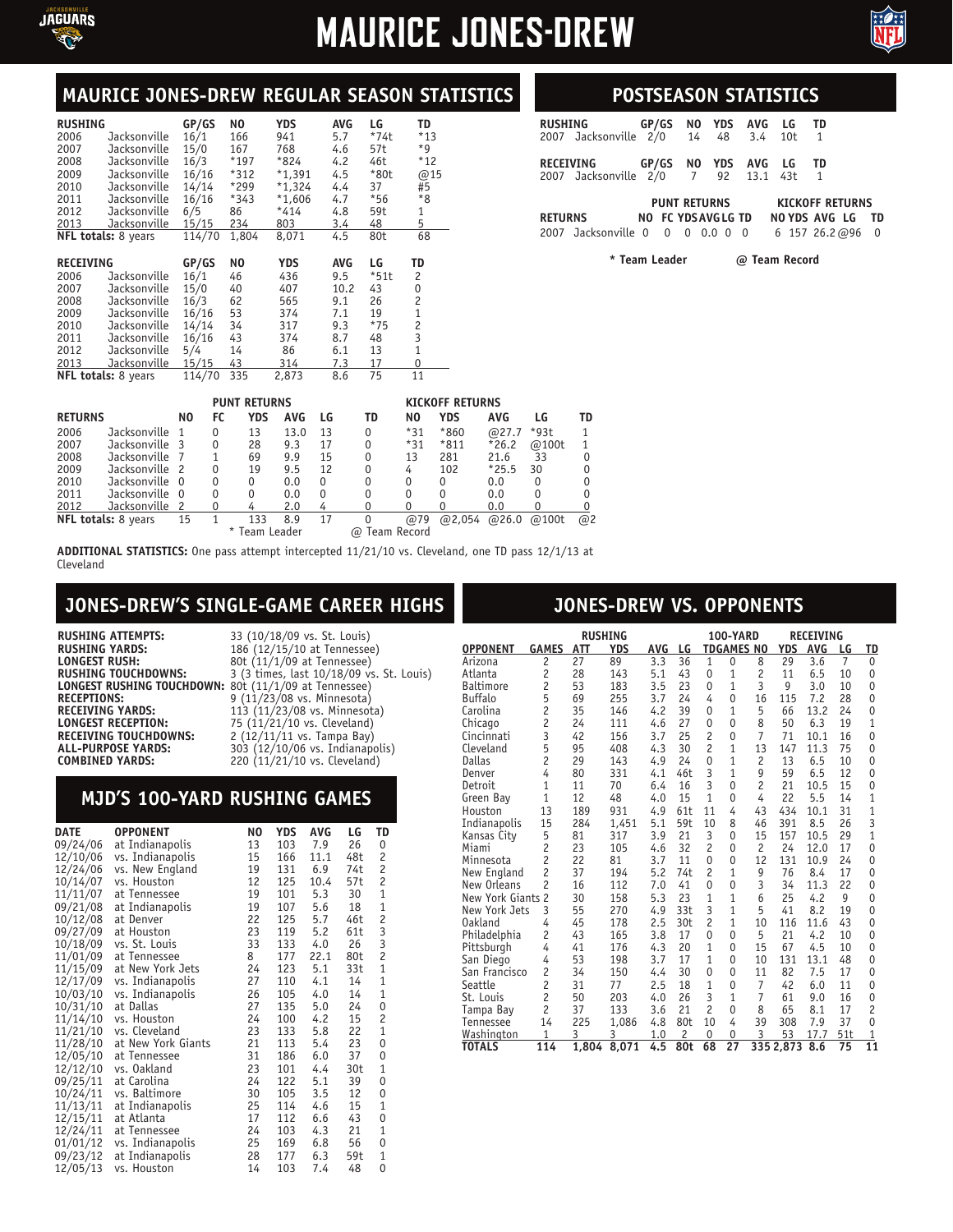



### **MAURICE JONES-DREW REGULAR SEASON STATISTICS**

| <b>RUSHING</b>   |                     | GP/GS  | NO     | <b>YDS</b> | <b>AVG</b> | LG     | TD             |
|------------------|---------------------|--------|--------|------------|------------|--------|----------------|
| 2006             | Jacksonville        | 16/1   | 166    | 941        | 5.7        | $*74t$ | $*13$          |
| 2007             | Jacksonville        | 15/0   | 167    | 768        | 4.6        | 57t    | *9             |
| 2008             | Jacksonville        | 16/3   | $*197$ | *824       | 4.2        | 46t    | $*12$          |
| 2009             | Jacksonville        | 16/16  | $*312$ | $*1,391$   | 4.5        | $*80t$ | @15            |
| 2010             | Jacksonville        | 14/14  | *299   | $*1,324$   | 4.4        | 37     | #5             |
| 2011             | Jacksonville        | 16/16  | $*343$ | $*1.606$   | 4.7        | $*56$  | *8             |
| 2012             | Jacksonville        | 6/5    | 86     | $*414$     | 4.8        | 59t    | 1              |
| 2013             | Jacksonville        | 15/15  | 234    | 803        | 3.4        | 48     | 5              |
|                  | NFL totals: 8 years | 114/70 | 1,804  | 8,071      | 4.5        | 80t    | 68             |
| <b>RECEIVING</b> |                     | GP/GS  | N0     | YDS.       | <b>AVG</b> | LG     | TD             |
| 2006             | Jacksonville        | 16/1   | 46     | 436        | 9.5        | $*51t$ | 2              |
| 2007             | Jacksonville        | 15/0   | 40     | 407        | 10.2       | 43     | 0              |
| 2008             | Jacksonville        | 16/3   | 62     | 565        | 9.1        | 26     | $\overline{c}$ |
| 2009             | Jacksonville        | 16/16  | 53     | 374        | 7.1        | 19     | $\mathbf{1}$   |
| 2010             | Jacksonville        | 14/14  | 34     | 317        | 9.3        | $*75$  |                |
| 2011             | Jacksonville        | 16/16  | 43     | 374        | 8.7        | 48     | $\frac{2}{3}$  |
| 2012             | Jacksonville        | 5/4    | 14     | 86         | 6.1        | 13     | $\overline{1}$ |
| 2013             | Jacksonville        | 15/15  | 43     | 314        | 7.3        | 17     | 0              |
|                  | NFL totals: 8 years | 114/70 | 335    | 2,873      | 8.6        | 75     | 11             |

#### **POSTSEASON STATISTICS**

|  | RUSHING GP/GS NO YDS AVG LG TD<br>2007 Jacksonville 2/0 14 48 3.4 10t 1   |  |              |  |                        |  |
|--|---------------------------------------------------------------------------|--|--------------|--|------------------------|--|
|  | RECEIVING GP/GS NO YDS AVG LG TD<br>2007 Jacksonville 2/0 7 92 13.1 43t 1 |  |              |  |                        |  |
|  |                                                                           |  | PUNT RETURNS |  | <b>KICKOFF RETURNS</b> |  |

| <b>RETURNS</b>                  |  | NO FC YDSAVGLG TD |  |  | NO YDS AVG LG TD                         |  |
|---------------------------------|--|-------------------|--|--|------------------------------------------|--|
| 2007 Jacksonville 0 0 0 0 0 0 0 |  |                   |  |  | $6\quad 157\quad 26.2\ \omega 96\quad 0$ |  |

**\* Team Leader @ Team Record**

|                |                            |     |    | <b>PUNT RETURNS</b> |            |          | <b>KICKOFF RETURNS</b> |             |        |         |          |    |  |
|----------------|----------------------------|-----|----|---------------------|------------|----------|------------------------|-------------|--------|---------|----------|----|--|
| <b>RETURNS</b> |                            | N0  | FC | YDS                 | <b>AVG</b> | LG       | TD                     | NO.         | YDS    | AVG     | LG       | TD |  |
| 2006           | Jacksonville               |     | 0  | 13                  | 13.0       | 13       | 0                      | $*31$       | $*860$ | @27.7   | $*93t$   |    |  |
| 2007           | Jacksonville 3             |     | 0  | 28                  | 9.3        | 17       |                        | $*31$       | $*811$ | $*26.2$ | @100t    |    |  |
| 2008           | Jacksonville               |     |    | 69                  | 9.9        | 15       |                        | 13          | 281    | 21.6    | 33       | 0  |  |
| 2009           | Jacksonville 2             |     | 0  | 19                  | 9.5        | 12       | 0                      | 4           | 102    | $*25.5$ | 30       |    |  |
| 2010           | Jacksonville 0             |     | 0  | 0                   | 0.0        | $\Omega$ | 0                      | 0           | 0      | 0.0     | 0        | 0  |  |
| 2011           | Jacksonville               | - 0 | 0  | 0                   | 0.0        | $\Omega$ | 0                      | 0           | 0      | 0.0     | $\Omega$ | 0  |  |
| 2012           | Jacksonville               | 2   | 0  |                     | 2.0        |          |                        |             |        | 0.0     |          |    |  |
|                | <b>NFL totals: 8 years</b> | 15  |    | 133                 | 8.9        | 17       |                        | @79         | @2.054 | @26.0   | @100t    | @2 |  |
|                |                            |     |    | *<br>Team Leader    |            |          | ω                      | Team Record |        |         |          |    |  |

**ADDITIONAL STATISTICS:** One pass attempt intercepted 11/21/10 vs. Cleveland, one TD pass 12/1/13 at Cleveland

#### **JONES-DREW'S SINGLE-GAME CAREER HIGHS JONES-DREW VS. OPPONENTS**

**RUSHING ATTEMPTS:** 33 (10/18/09 vs. St. Louis)<br>**RUSHING YARDS:** 186 (12/15/10 at Tennesse **RUSHING YARDS:** 186 (12/15/10 at Tennessee)<br> **LONGEST RUSH:** 80t (11/1/09 at Tennessee) **LONGEST RUSH:** 80t (11/1/09 at Tennessee)<br>**RUSHING TOUCHDOWNS:** 3 (3 times, last 10/18/09 vs **LONGEST RUSHING TOUCHDOWN:** 80t (11/1/09 at Tennessee)<br>**RECEPTIONS:** 9 (11/23/08 vs. Minnesota) **RECEPTIONS:** 9 (11/23/08 vs. Minnesota)<br>**RECEIVING YARDS:** 113 (11/23/08 vs. Minneso **RECEIVING YARDS:** 113 (11/23/08 vs. Minnesota)<br>**LONGEST RECEPTION:** 75 (11/23/10 vs. Cleveland) **RECEIVING TOUCHDOWNS:**<br>ALL-PURPOSE YARDS:

**RUSHING TOUCHDOWNS:** 3 (3 times, last 10/18/09 vs. St. Louis) 75 (11/21/10 vs. Cleveland)<br>2 (12/11/11 vs. Tampa Bay) **ALL-PURPOSE YARDS:** 303 (12/10/06 vs. Indianapolis)<br>**COMBINED YARDS:** 220 (11/21/10 vs. Cleveland) **COMBINED YARDS:** 220 (11/21/10 vs. Cleveland)

#### **MJD'S 100-YARD RUSHING GAMES**

| <b>DATE</b> | <b>OPPONENT</b>    | NO | <b>YDS</b> | AVG  | LG  | TD                      |
|-------------|--------------------|----|------------|------|-----|-------------------------|
| 09/24/06    | at Indianapolis    | 13 | 103        | 7.9  | 26  | 0                       |
| 12/10/06    | vs. Indianapolis   | 15 | 166        | 11.1 | 48t | 2                       |
| 12/24/06    | vs. New England    | 19 | 131        | 6.9  | 74t | 2                       |
| 10/14/07    | vs. Houston        | 12 | 125        | 10.4 | 57t | $\overline{c}$          |
| 11/11/07    | at Tennessee       | 19 | 101        | 5.3  | 30  | $\mathbf{1}$            |
| 09/21/08    | at Indianapolis    | 19 | 107        | 5.6  | 18  | $\overline{1}$          |
| 10/12/08    | at Denver          | 22 | 125        | 5.7  | 46t | $\overline{\mathbf{c}}$ |
| 09/27/09    | at Houston         | 23 | 119        | 5.2  | 61t | 3                       |
| 10/18/09    | vs. St. Louis      | 33 | 133        | 4.0  | 26  | 3                       |
| 11/01/09    | at Tennessee       | 8  | 177        | 22.1 | 80t | $\overline{c}$          |
| 11/15/09    | at New York Jets   | 24 | 123        | 5.1  | 33t | $\overline{1}$          |
| 12/17/09    | vs. Indianapolis   | 27 | 110        | 4.1  | 14  | $\mathbf{1}$            |
| 10/03/10    | vs. Indianapolis   | 26 | 105        | 4.0  | 14  | $\mathbf{1}$            |
| 10/31/10    | at Dallas          | 27 | 135        | 5.0  | 24  | 0                       |
| 11/14/10    | vs. Houston        | 24 | 100        | 4.2  | 15  | 2                       |
| 11/21/10    | vs. Cleveland      | 23 | 133        | 5.8  | 22  | $\overline{1}$          |
| 11/28/10    | at New York Giants | 21 | 113        | 5.4  | 23  | 0                       |
| 12/05/10    | at Tennessee       | 31 | 186        | 6.0  | 37  | 0                       |
| 12/12/10    | vs. Oakland        | 23 | 101        | 4.4  | 30t | $\overline{1}$          |
| 09/25/11    | at Carolina        | 24 | 122        | 5.1  | 39  | 0                       |
| 10/24/11    | vs. Baltimore      | 30 | 105        | 3.5  | 12  | 0                       |
| 11/13/11    | at Indianapolis    | 25 | 114        | 4.6  | 15  | $\overline{1}$          |
| 12/15/11    | at Atlanta         | 17 | 112        | 6.6  | 43  | 0                       |
| 12/24/11    | at Tennessee       | 24 | 103        | 4.3  | 21  | 1                       |
| 01/01/12    | vs. Indianapolis   | 25 | 169        | 6.8  | 56  | 0                       |
| 09/23/12    | at Indianapolis    | 28 | 177        | 6.3  | 59t | 1                       |
| 12/05/13    | vs. Houston        | 14 | 103        | 7.4  | 48  | 0                       |

#### **RUSHING 100-YARD RECEIVING OPPONENT GAMES ATT YDS AVG LG TDGAMES NO YDS AVG LG TD** Arizona 2 27 89 3.3 36 1 0 8 29 3.6 7 0 Atlanta 2 28 143 5.1 43 0 1 2 11 6.5 10 0 Baltimore 2 53 183 3.5 23 0 1 3 9 3.0 10 0 Buffalo 5 69 255 3.7 24 4 0 16 115 7.2 28 0 Carolina 2 35 146 4.2 39 0 1 5 66 13.2 24 0 Chicago 2 24 111 4.6 27 0 0 8 50 6.3 19 1 Cincinnati 3 42 156 3.7 25 2 0 7 71 10.1 16 0 Cleveland 5 95 408 4.3 30 2 1 13 147 11.3 75 0 Dallas 2 29 143 4.9 24 0 1 2 13 6.5 10 0 Denver 4 80 331 4.1 46t 3 1 9 59 6.5 12 0 Detroit 1 11 70 6.4 16 3 0 2 21 10.5 15 0 Green Bay 1 12 48 4.0 15 1 0 4 22 5.5 14 1<br>Houston 13 189 931 4.9 61t 11 4 43 434 10.1 31 1 Houston 13 189 931 4.9 61t 11 4 43 434 10.1 31 1 11 Indianapolis 15 284 1,451 5.1 59t 10 8 46 391 8.5 26 3<br>
12 Xansas City 5 81 317 3.9 21 3 0 15 157 10.5 29 1<br>
13 Miami 2 23 105 4.6 32 2 0 2 24 12.0 17 0 Kansas City 5 81 317 3.9 21 3 0 15 157 10.5 29 1 Miami 2 23 105 4.6 32 2 0 2 24 12.0 17 0 Minnesota 2 22 81 3.7 11 0 0 12 131 10.9 24 0 New England 2 37 194 5.2 74t 2 1 9 76 8.4 17 0 New Orleans 2 16 112 7.0 41 0 0 3 34 11.3 22 0 New York Giants 2 30 158 5.3 23 1 1 6 25 4.2 9 0 New York Jets 3 55 270 4.9 33t 3 1 5 41 8.2 19 0 Oakland 4 45 178 2.5 30t 2 1 10 116 11.6 43 0 Philadelphia 2 43 165 3.8 17 0 0 5 21 4.2 10 0 Pittsburgh 4 41 176 4.3 20 1 0 15 67 4.5 10 0 San Diego 4 53 198 3.7 17 1 0 10 131 13.1 48 0 San Francisco 2 34 150 4.4 30 0 0 11 82 7.5 17 0 Seattle 2 31 77 2.5 18 1 0 7 42 6.0 11 0 St. Louis 2 50 203 4.0 26 3 1 7 61 9.0 16 0 Tampa Bay 2 37 133 3.6 21 2 0 8 65 8.1 17 2 Tennessee 14 225 1,086 4.8 80t 10 4 39 308 7.9<br>Washington 1 3 3 1.0 2 0 0 3 53 17.7 Washington 1 3 3 1.0 2 0 0 3 53 17.7 51t 1<br>TOTALS 114 1,804 8,071 4.5 80t 68 27 335 2,873 8.6 75 11 **1,804 8,071**